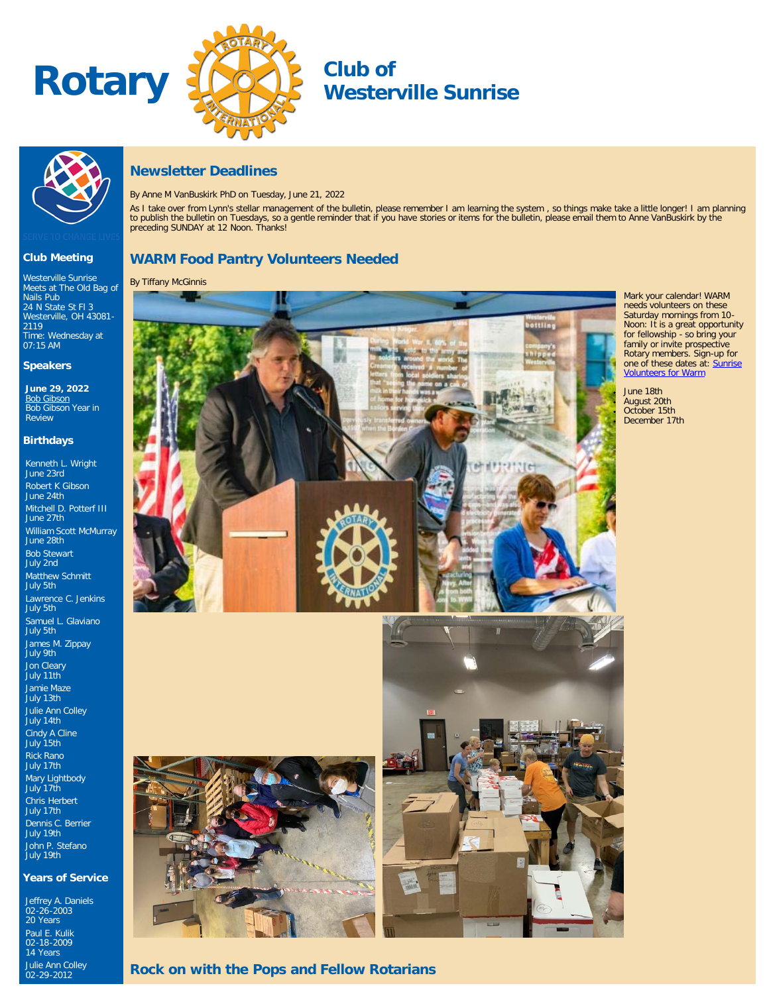



# **Westerville Sunrise**



**Club Meeting** Westerville Sunrise Meets at The Old Bag of

[24 N State St Fl 3](http://maps.google.com/maps?q=40.126520000,-82.931820000) [Westerville, OH 43081-](http://maps.google.com/maps?q=40.126520000,-82.931820000)

Time: Wednesday at 07:15 AM **Speakers June 29, 2022** <u>[Bob Gibson](https://ismyrotaryclub.com/wp_api_prod_1-1/R_Event.cfm?fixTables=0&fixImages=0&EventID=77585239)</u><br>Bob Gibson Year in

Kenneth L. Wright June 23rd Robert K Gibson June 24th Mitchell D. Potterf III June 27th

William Scott McMurray

Lawrence C. Jenkins

James M. Zippay July 9th Jon Cleary July 11th Jamie Maze July 13th Julie Ann Colley July 14th Cindy A Cline July 15th Rick Rano July 17th Mary Lightbody July 17th Chris Herbert July 17th Dennis C. Berrier July 19th John P. Stefano July 19th

**Years of Service**

Jeffrey A. Daniels 02-26-2003 20 Years

Paul E. Kulik 02-18-2009 14 Years Julie Ann Colley 02-29-2012

June 28th Bob Stewart July 2nd Matthew Schmitt July 5th

July 5th Samuel L. Glaviano July 5th

Nails Pub

[2119](http://maps.google.com/maps?q=40.126520000,-82.931820000)

Review **Birthdays**

## **Newsletter Deadlines**

By Anne M VanBuskirk PhD on Tuesday, June 21, 2022

As I take over from Lynn's stellar management of the bulletin, please remember I am learning the system, so things make take a little longer! I am planning to publish the bulletin on Tuesdays, so a gentle reminder that if you have stories or items for the bulletin, please email them to Anne VanBuskirk by the preceding SUNDAY at 12 Noon. Thanks!

## **WARM Food Pantry Volunteers Needed**

By Tiffany McGinnis



Mark your calendar! WARM needs volunteers on these Saturday mornings from 10- Noon: It is a great opportunity for fellowship - so bring your family or invite prospective Rotary members. Sign-up for one of these dates at: [Sunrise](https://www.signupgenius.com/go/20f0b44ada729a0f85-warm1) [Volunteers for Warm](https://www.signupgenius.com/go/20f0b44ada729a0f85-warm1)

June 18th August 20th October 15th December 17th

**Rock on with the Pops and Fellow Rotarians**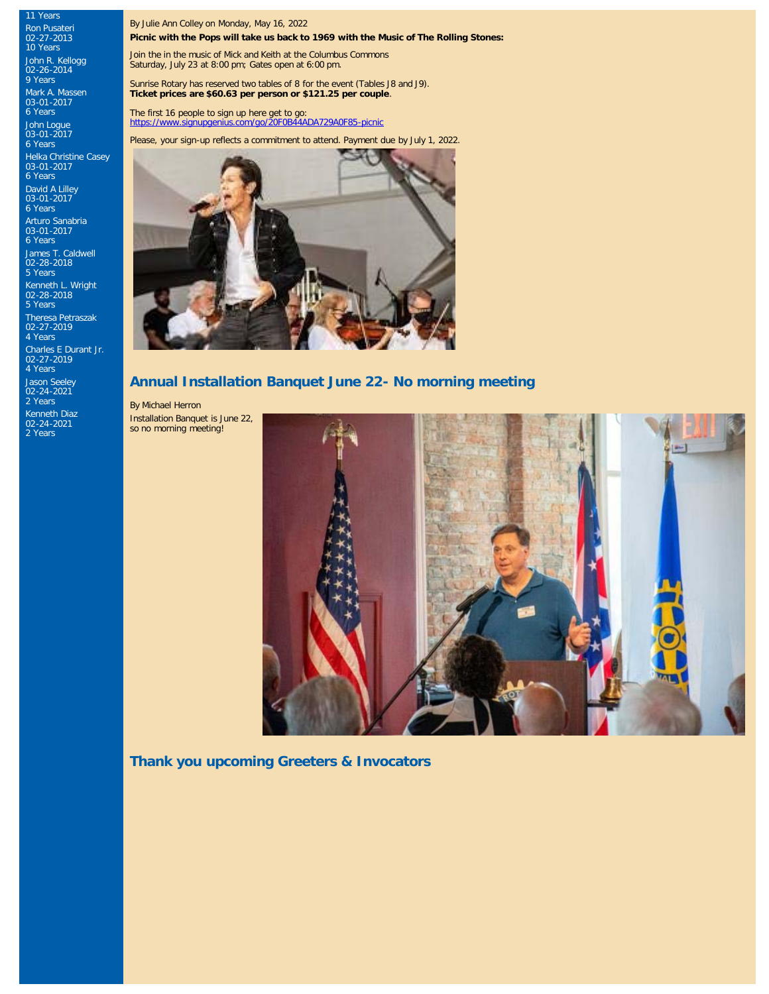11 Years Ron Pusateri 02-27-2013 10 Years

John R. Kellogg 02-26-2014 9 Years

Mark A. Massen 03-01-2017 6 Years

John Logue 03-01-2017 6 Years Helka Christine Casey 03-01-2017

6 Years David A Lilley 03-01-2017 6 Years

Arturo Sanabria 03-01-2017 6 Years

James T. Caldwell 02-28-2018 5 Years

Kenneth L. Wright 02-28-2018 5 Years

Theresa Petraszak 02-27-2019 4 Years Charles E Durant Jr. 02-27-2019 4 Years Jason Seeley 02-24-2021 2 Years

Kenneth Diaz 02-24-2021 2 Years

By Julie Ann Colley on Monday, May 16, 2022

**Picnic with the Pops will take us back to 1969 with the Music of The Rolling Stones:**

Join the in the music of Mick and Keith at the Columbus Commons Saturday, July 23 at 8:00 pm; Gates open at 6:00 pm.

Sunrise Rotary has reserved two tables of 8 for the event (Tables J8 and J9). **Ticket prices are \$60.63 per person or \$121.25 per couple**.

The first 16 people to sign up here get to go: <https://www.signupgenius.com/go/20F0B44ADA729A0F85-picnic>

Please, your sign-up reflects a commitment to attend. Payment due by July 1, 2022.



#### **Annual Installation Banquet June 22- No morning meeting**

By Michael Herron

Installation Banquet is June 22, so no morning meeting!



**Thank you upcoming Greeters & Invocators**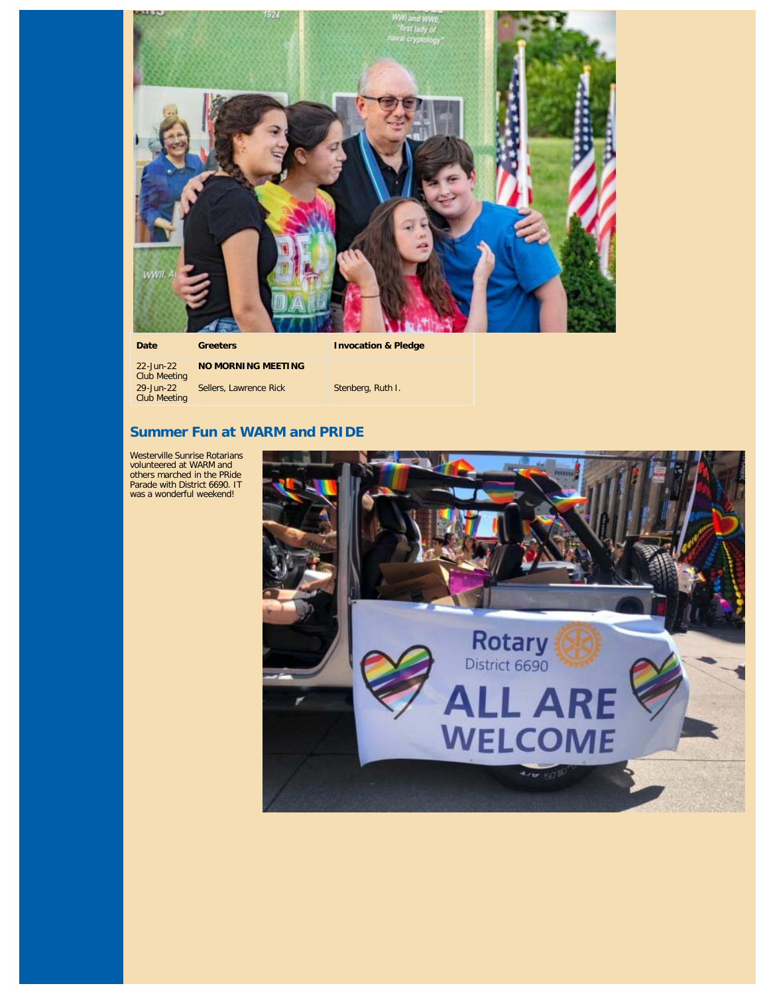

**Date Greeters Invocation & Pledge**

22-Jun-22 Club Meeting 29-Jun-22 Club Meeting **NO MORNING MEETING** Sellers, Lawrence Rick Stenberg, Ruth I.

## **Summer Fun at WARM and PRIDE**

Westerville Sunrise Rotarians volunteered at WARM and others marched in the PRide Parade with District 6690. IT was a wonderful weekend!

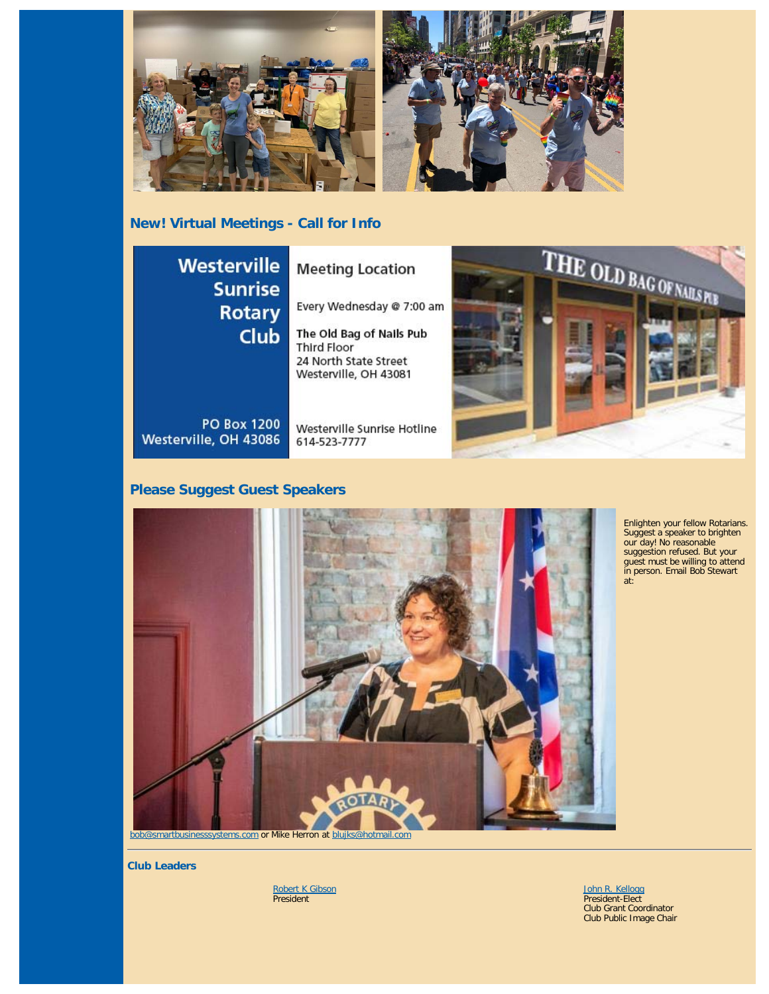

# **New! Virtual Meetings - Call for Info**



# **Please Suggest Guest Speakers**



Enlighten your fellow Rotarians. Suggest a speaker to brighten our day! No reasonable suggestion refused. But your guest must be willing to attend in person. Email Bob Stewart at:

**Club Leaders**

<u>[Robert K Gibson](https://www.ismyrotaryclub.org/EMailer.cfm?ID=800286578)</u><br>President

[John R. Kellogg](https://www.ismyrotaryclub.org/EMailer.cfm?ID=800415917) President-Elect Club Grant Coordinator Club Public Image Chair